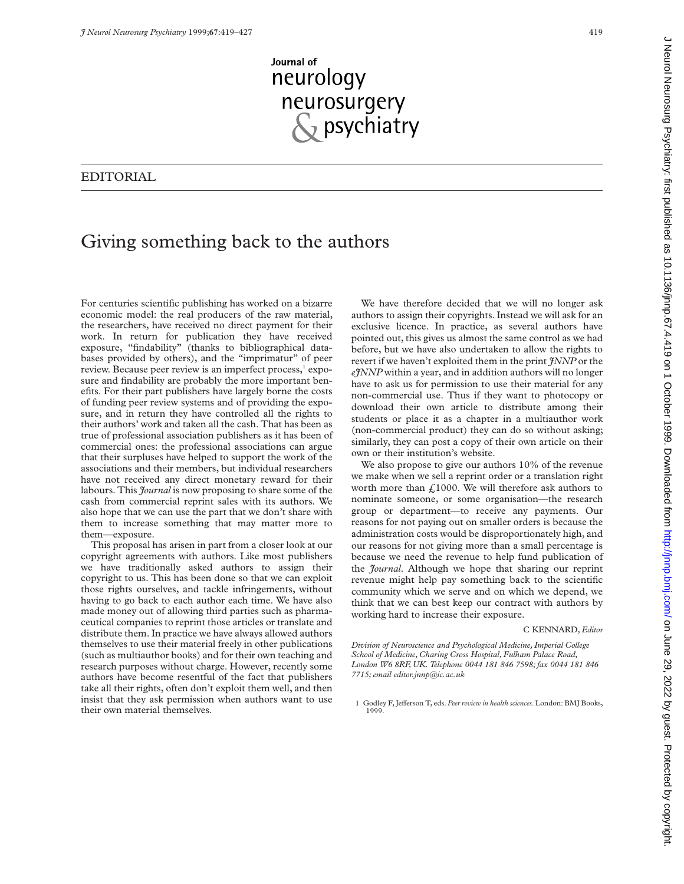# Journal of neurology neurosurgery  $\frac{1}{2}$  psychiatry

# EDITORIAL

# Giving something back to the authors

For centuries scientific publishing has worked on a bizarre economic model: the real producers of the raw material, the researchers, have received no direct payment for their work. In return for publication they have received exposure, "findability" (thanks to bibliographical databases provided by others), and the "imprimatur" of peer review. Because peer review is an imperfect process,<sup>1</sup> exposure and findability are probably the more important benefits. For their part publishers have largely borne the costs of funding peer review systems and of providing the exposure, and in return they have controlled all the rights to their authors' work and taken all the cash. That has been as true of professional association publishers as it has been of commercial ones: the professional associations can argue that their surpluses have helped to support the work of the associations and their members, but individual researchers have not received any direct monetary reward for their labours. This *Journal* is now proposing to share some of the cash from commercial reprint sales with its authors. We also hope that we can use the part that we don't share with them to increase something that may matter more to them—exposure.

This proposal has arisen in part from a closer look at our copyright agreements with authors. Like most publishers we have traditionally asked authors to assign their copyright to us. This has been done so that we can exploit those rights ourselves, and tackle infringements, without having to go back to each author each time. We have also made money out of allowing third parties such as pharmaceutical companies to reprint those articles or translate and distribute them. In practice we have always allowed authors themselves to use their material freely in other publications (such as multiauthor books) and for their own teaching and research purposes without charge. However, recently some authors have become resentful of the fact that publishers take all their rights, often don't exploit them well, and then insist that they ask permission when authors want to use their own material themselves.

We have therefore decided that we will no longer ask authors to assign their copyrights. Instead we will ask for an exclusive licence. In practice, as several authors have pointed out, this gives us almost the same control as we had before, but we have also undertaken to allow the rights to revert if we haven't exploited them in the print *JNNP* or the *eJNNP* within a year, and in addition authors will no longer have to ask us for permission to use their material for any non-commercial use. Thus if they want to photocopy or download their own article to distribute among their students or place it as a chapter in a multiauthor work (non-commercial product) they can do so without asking; similarly, they can post a copy of their own article on their own or their institution's website.

We also propose to give our authors 10% of the revenue we make when we sell a reprint order or a translation right worth more than  $f<sub>1000</sub>$ . We will therefore ask authors to nominate someone, or some organisation—the research group or department—to receive any payments. Our reasons for not paying out on smaller orders is because the administration costs would be disproportionately high, and our reasons for not giving more than a small percentage is because we need the revenue to help fund publication of the *Journal*. Although we hope that sharing our reprint revenue might help pay something back to the scientific community which we serve and on which we depend, we think that we can best keep our contract with authors by working hard to increase their exposure.

C KENNARD*, Editor*

*Division of Neuroscience and Psychological Medicine, Imperial College School of Medicine, Charing Cross Hospital, Fulham Palace Road, London W6 8RF, UK. Telephone 0044 181 846 7598; fax 0044 181 846 7715; email editor.jnnp@ic.ac.uk*

<sup>1</sup> Godley F, Jefferson T, eds. Peer review in health sciences. London: BMJ Books, 1999.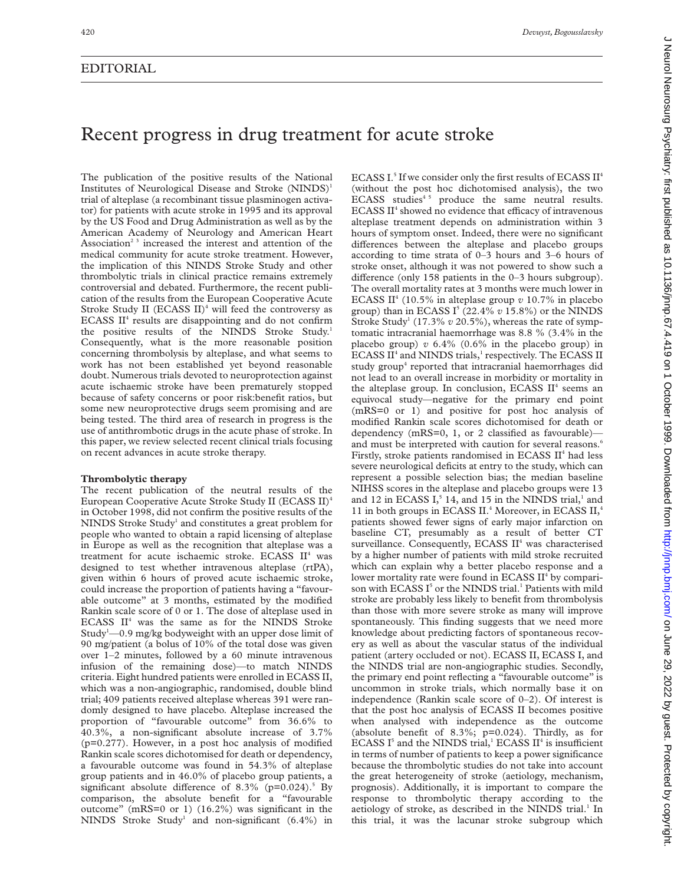# EDITORIAL

# J Neurol Neurosurg Psychiatry: first published as 10.11136/jnnp.67.4.419 on 1 October 1999. Downloaded from http://jnnp.bmj.com/ on June 29, 2022 by guest. Protected by copyright dight. Protected by guest. Protected by guest. Protect as 10. 2022 by guest. Protect from/ on 11412/jnnp. Substrated as 10. 2022 by guest. Protected by copyright. First published as 10.1119. Substrated as 29, 2022 by guest

# Recent progress in drug treatment for acute stroke

The publication of the positive results of the National Institutes of Neurological Disease and Stroke (NINDS)<sup>1</sup> trial of alteplase (a recombinant tissue plasminogen activator) for patients with acute stroke in 1995 and its approval by the US Food and Drug Administration as well as by the American Academy of Neurology and American Heart Association<sup>23</sup> increased the interest and attention of the medical community for acute stroke treatment. However, the implication of this NINDS Stroke Study and other thrombolytic trials in clinical practice remains extremely controversial and debated. Furthermore, the recent publication of the results from the European Cooperative Acute Stroke Study II (ECASS  $II$ )<sup>4</sup> will feed the controversy as ECASS  $II<sup>4</sup>$  results are disappointing and do not confirm the positive results of the NINDS Stroke Study.<sup>1</sup> Consequently, what is the more reasonable position concerning thrombolysis by alteplase, and what seems to work has not been established yet beyond reasonable doubt. Numerous trials devoted to neuroprotection against acute ischaemic stroke have been prematurely stopped because of safety concerns or poor risk:benefit ratios, but some new neuroprotective drugs seem promising and are being tested. The third area of research in progress is the use of antithrombotic drugs in the acute phase of stroke. In this paper, we review selected recent clinical trials focusing on recent advances in acute stroke therapy.

### **Thrombolytic therapy**

The recent publication of the neutral results of the European Cooperative Acute Stroke Study II (ECASS II)4 in October 1998, did not confirm the positive results of the NINDS Stroke Study<sup>1</sup> and constitutes a great problem for people who wanted to obtain a rapid licensing of alteplase in Europe as well as the recognition that alteplase was a treatment for acute ischaemic stroke. ECASS  $II<sup>4</sup>$  was designed to test whether intravenous alteplase (rtPA), given within 6 hours of proved acute ischaemic stroke, could increase the proportion of patients having a "favourable outcome" at 3 months, estimated by the modified Rankin scale score of 0 or 1. The dose of alteplase used in ECASS  $II<sup>4</sup>$  was the same as for the NINDS Stroke Study<sup>1</sup>-0.9 mg/kg bodyweight with an upper dose limit of 90 mg/patient (a bolus of 10% of the total dose was given over 1–2 minutes, followed by a 60 minute intravenous infusion of the remaining dose)—to match NINDS criteria. Eight hundred patients were enrolled in ECASS II, which was a non-angiographic, randomised, double blind trial; 409 patients received alteplase whereas 391 were randomly designed to have placebo. Alteplase increased the proportion of "favourable outcome" from 36.6% to 40.3%, a non-significant absolute increase of 3.7% (p=0.277). However, in a post hoc analysis of modified Rankin scale scores dichotomised for death or dependency, a favourable outcome was found in 54.3% of alteplase group patients and in 46.0% of placebo group patients, a significant absolute difference of 8.3% ( $p=0.024$ ).<sup>5</sup> By comparison, the absolute benefit for a "favourable outcome" (mRS=0 or 1) (16.2%) was significant in the NINDS Stroke Study<sup>1</sup> and non-significant (6.4%) in

ECASS I.<sup>5</sup> If we consider only the first results of ECASS II<sup>4</sup> (without the post hoc dichotomised analysis), the two ECASS studies<sup> $45$ </sup> produce the same neutral results.  $ECASS II<sup>4</sup>$  showed no evidence that efficacy of intravenous alteplase treatment depends on administration within 3 hours of symptom onset. Indeed, there were no significant differences between the alteplase and placebo groups according to time strata of 0–3 hours and 3–6 hours of stroke onset, although it was not powered to show such a difference (only 158 patients in the 0-3 hours subgroup). The overall mortality rates at 3 months were much lower in ECASS II<sup>4</sup> (10.5% in alteplase group  $v$  10.7% in placebo group) than in ECASS  $I^5$  (22.4%  $v$  15.8%) or the NINDS Stroke Study<sup>1</sup> (17.3%  $v$  20.5%), whereas the rate of symptomatic intracranial haemorrhage was 8.8 % (3.4% in the placebo group) *v* 6.4% (0.6% in the placebo group) in ECASS  $II^4$  and NINDS trials, $^1$  respectively. The ECASS II study group<sup>4</sup> reported that intracranial haemorrhages did not lead to an overall increase in morbidity or mortality in the alteplase group. In conclusion, ECASS  $II<sup>4</sup>$  seems an equivocal study—negative for the primary end point (mRS=0 or 1) and positive for post hoc analysis of modified Rankin scale scores dichotomised for death or dependency (mRS=0, 1, or 2 classified as favourable)and must be interpreted with caution for several reasons.<sup>6</sup> Firstly, stroke patients randomised in ECASS II<sup>4</sup> had less severe neurological deficits at entry to the study, which can represent a possible selection bias; the median baseline NIHSS scores in the alteplase and placebo groups were 13 and 12 in ECASS I, $5$  14, and 15 in the NINDS trial, $1$  and 11 in both groups in ECASS II.<sup>4</sup> Moreover, in ECASS II,<sup>4</sup> patients showed fewer signs of early major infarction on baseline CT, presumably as a result of better CT surveillance. Consequently, ECASS II<sup>4</sup> was characterised by a higher number of patients with mild stroke recruited which can explain why a better placebo response and a lower mortality rate were found in ECASS  $II<sup>4</sup>$  by comparison with ECASS I<sup>5</sup> or the NINDS trial.<sup>1</sup> Patients with mild stroke are probably less likely to benefit from thrombolysis than those with more severe stroke as many will improve spontaneously. This finding suggests that we need more knowledge about predicting factors of spontaneous recovery as well as about the vascular status of the individual patient (artery occluded or not). ECASS II, ECASS I, and the NINDS trial are non-angiographic studies. Secondly, the primary end point reflecting a "favourable outcome" is uncommon in stroke trials, which normally base it on independence (Rankin scale score of 0–2). Of interest is that the post hoc analysis of ECASS II becomes positive when analysed with independence as the outcome (absolute benefit of 8.3%;  $p=0.024$ ). Thirdly, as for ECASS  $I^5$  and the NINDS trial,<sup>1</sup> ECASS  $II^4$  is insufficient in terms of number of patients to keep a power significance because the thrombolytic studies do not take into account the great heterogeneity of stroke (aetiology, mechanism, prognosis). Additionally, it is important to compare the response to thrombolytic therapy according to the aetiology of stroke, as described in the NINDS trial.<sup>1</sup> In this trial, it was the lacunar stroke subgroup which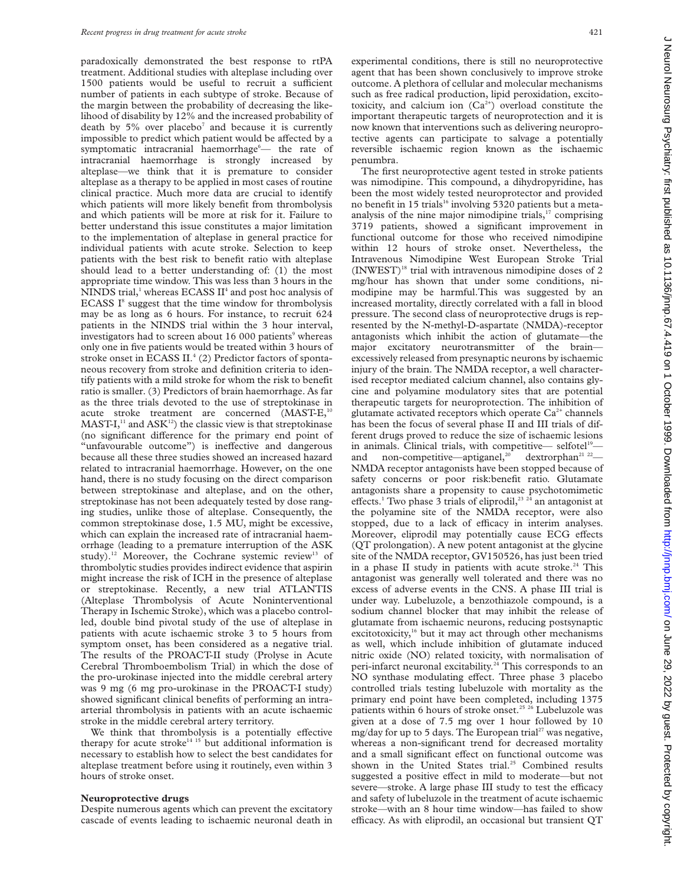paradoxically demonstrated the best response to rtPA treatment. Additional studies with alteplase including over 1500 patients would be useful to recruit a sufficient number of patients in each subtype of stroke. Because of the margin between the probability of decreasing the likelihood of disability by 12% and the increased probability of death by 5% over placebo<sup>7</sup> and because it is currently impossible to predict which patient would be affected by a symptomatic intracranial haemorrhage<sup>6</sup>— the rate of intracranial haemorrhage is strongly increased by alteplase—we think that it is premature to consider alteplase as a therapy to be applied in most cases of routine clinical practice. Much more data are crucial to identify which patients will more likely benefit from thrombolysis and which patients will be more at risk for it. Failure to better understand this issue constitutes a major limitation to the implementation of alteplase in general practice for individual patients with acute stroke. Selection to keep patients with the best risk to benefit ratio with alteplase should lead to a better understanding of: (1) the most appropriate time window. This was less than 3 hours in the NINDS trial, $<sup>1</sup>$  whereas ECASS II $<sup>4</sup>$  and post hoc analysis of</sup></sup> ECASS  $I^8$  suggest that the time window for thrombolysis may be as long as 6 hours. For instance, to recruit 624 patients in the NINDS trial within the 3 hour interval, investigators had to screen about 16 000 patients<sup>9</sup> whereas only one in five patients would be treated within 3 hours of stroke onset in ECASS  $II.^4$  (2) Predictor factors of spontaneous recovery from stroke and definition criteria to identify patients with a mild stroke for whom the risk to benefit ratio is smaller. (3) Predictors of brain haemorrhage. As far as the three trials devoted to the use of streptokinase in acute stroke treatment are concerned  $(MAST-E, 10)$  $MAST-I<sub>1</sub><sup>11</sup>$  and  $ASK<sup>12</sup>$ ) the classic view is that streptokinase (no significant difference for the primary end point of "unfavourable outcome") is ineffective and dangerous because all these three studies showed an increased hazard related to intracranial haemorrhage. However, on the one hand, there is no study focusing on the direct comparison between streptokinase and alteplase, and on the other, streptokinase has not been adequately tested by dose ranging studies, unlike those of alteplase. Consequently, the common streptokinase dose, 1.5 MU, might be excessive, which can explain the increased rate of intracranial haemorrhage (leading to a premature interruption of the ASK study).<sup>12</sup> Moreover, the Cochrane systemic review<sup>13</sup> of thrombolytic studies provides indirect evidence that aspirin might increase the risk of ICH in the presence of alteplase or streptokinase. Recently, a new trial ATLANTIS (Alteplase Thrombolysis of Acute Noninterventional Therapy in Ischemic Stroke), which was a placebo controlled, double bind pivotal study of the use of alteplase in patients with acute ischaemic stroke 3 to 5 hours from symptom onset, has been considered as a negative trial. The results of the PROACT-II study (Prolyse in Acute Cerebral Thromboembolism Trial) in which the dose of the pro-urokinase injected into the middle cerebral artery was 9 mg (6 mg pro-urokinase in the PROACT-I study) showed significant clinical benefits of performing an intraarterial thrombolysis in patients with an acute ischaemic stroke in the middle cerebral artery territory.

We think that thrombolysis is a potentially effective therapy for acute stroke<sup>14 15</sup> but additional information is necessary to establish how to select the best candidates for alteplase treatment before using it routinely, even within 3 hours of stroke onset.

### **Neuroprotective drugs**

Despite numerous agents which can prevent the excitatory cascade of events leading to ischaemic neuronal death in experimental conditions, there is still no neuroprotective agent that has been shown conclusively to improve stroke outcome. A plethora of cellular and molecular mechanisms such as free radical production, lipid peroxidation, excitotoxicity, and calcium ion  $(Ca^{2+})$  overload constitute the important therapeutic targets of neuroprotection and it is now known that interventions such as delivering neuroprotective agents can participate to salvage a potentially reversible ischaemic region known as the ischaemic penumbra.

The first neuroprotective agent tested in stroke patients was nimodipine. This compound, a dihydropyridine, has been the most widely tested neuroprotector and provided no benefit in 15 trials<sup>16</sup> involving 5320 patients but a metaanalysis of the nine major nimodipine trials, $17$  comprising 3719 patients, showed a significant improvement in functional outcome for those who received nimodipine within 12 hours of stroke onset. Nevertheless, the Intravenous Nimodipine West European Stroke Trial (INWEST)<sup>18</sup> trial with intravenous nimodipine doses of 2 mg/hour has shown that under some conditions, nimodipine may be harmful.This was suggested by an increased mortality, directly correlated with a fall in blood pressure. The second class of neuroprotective drugs is represented by the N-methyl-D-aspartate (NMDA)-receptor antagonists which inhibit the action of glutamate—the major excitatory neurotransmitter of the brain excessively released from presynaptic neurons by ischaemic injury of the brain. The NMDA receptor, a well characterised receptor mediated calcium channel, also contains glycine and polyamine modulatory sites that are potential therapeutic targets for neuroprotection. The inhibition of glutamate activated receptors which operate  $Ca<sup>2+</sup>$  channels has been the focus of several phase II and III trials of different drugs proved to reduce the size of ischaemic lesions in animals. Clinical trials, with competitive— selfotel<sup>19</sup> and non-competitive—aptiganel,<sup>20</sup> dextrorphan<sup>21 22</sup>— NMDA receptor antagonists have been stopped because of safety concerns or poor risk:benefit ratio. Glutamate antagonists share a propensity to cause psychotomimetic effects.<sup>1</sup> Two phase 3 trials of eliprodil,<sup>23 24</sup> an antagonist at the polyamine site of the NMDA receptor, were also stopped, due to a lack of efficacy in interim analyses. Moreover, eliprodil may potentially cause ECG effects (QT prolongation). A new potent antagonist at the glycine site of the NMDA receptor, GV150526, has just been tried in a phase II study in patients with acute stroke. $24$  This antagonist was generally well tolerated and there was no excess of adverse events in the CNS. A phase III trial is under way. Lubeluzole, a benzothiazole compound, is a sodium channel blocker that may inhibit the release of glutamate from ischaemic neurons, reducing postsynaptic excitotoxicity, $16$  but it may act through other mechanisms as well, which include inhibition of glutamate induced nitric oxide (NO) related toxicity, with normalisation of peri-infarct neuronal excitability.<sup>24</sup> This corresponds to an NO synthase modulating effect. Three phase 3 placebo controlled trials testing lubeluzole with mortality as the primary end point have been completed, including 1375 patients within 6 hours of stroke onset.<sup>25 26</sup> Lubeluzole was given at a dose of 7.5 mg over 1 hour followed by 10 mg/day for up to 5 days. The European trial  $2^7$  was negative, whereas a non-significant trend for decreased mortality and a small significant effect on functional outcome was shown in the United States trial.<sup>25</sup> Combined results suggested a positive effect in mild to moderate—but not severe—stroke. A large phase III study to test the efficacy and safety of lubeluzole in the treatment of acute ischaemic stroke—with an 8 hour time window—has failed to show efficacy. As with eliprodil, an occasional but transient QT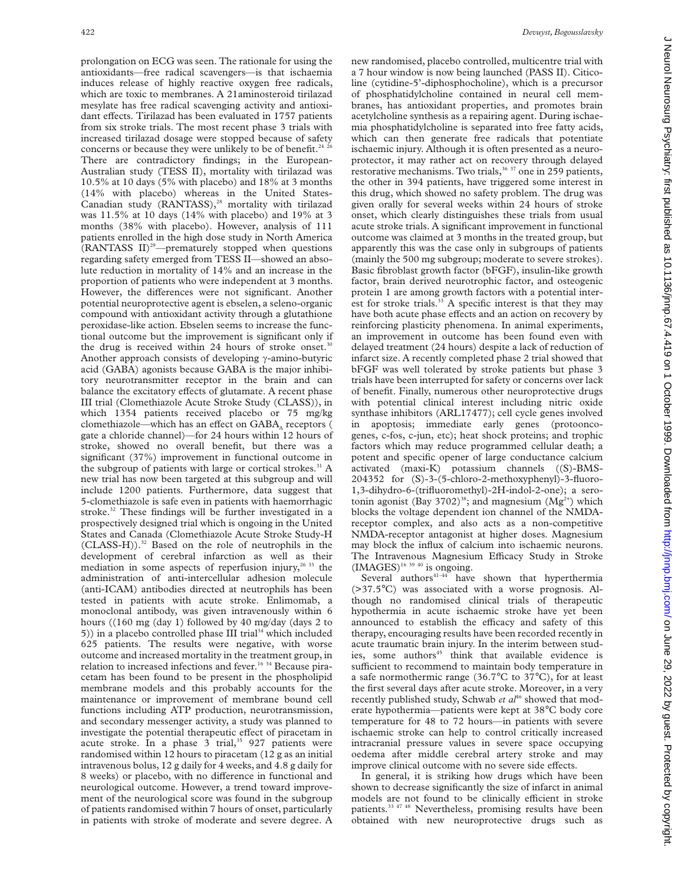prolongation on ECG was seen. The rationale for using the antioxidants—free radical scavengers—is that ischaemia induces release of highly reactive oxygen free radicals, which are toxic to membranes. A 21aminosteroid tirilazad mesylate has free radical scavenging activity and antioxidant effects. Tirilazad has been evaluated in 1757 patients from six stroke trials. The most recent phase 3 trials with increased tirilazad dosage were stopped because of safety concerns or because they were unlikely to be of benefit.<sup>24 26</sup> There are contradictory findings; in the European-Australian study (TESS II), mortality with tirilazad was 10.5% at 10 days (5% with placebo) and 18% at 3 months (14% with placebo) whereas in the United States-Canadian study (RANTASS),<sup>28</sup> mortality with tirilazad was 11.5% at 10 days (14% with placebo) and 19% at 3 months (38% with placebo). However, analysis of 111 patients enrolled in the high dose study in North America  $(RANTASS II)<sup>29</sup>$ -prematurely stopped when questions regarding safety emerged from TESS II—showed an absolute reduction in mortality of 14% and an increase in the proportion of patients who were independent at 3 months. However, the differences were not significant. Another potential neuroprotective agent is ebselen, a seleno-organic compound with antioxidant activity through a glutathione peroxidase-like action. Ebselen seems to increase the functional outcome but the improvement is significant only if the drug is received within 24 hours of stroke onset.<sup>30</sup> Another approach consists of developing  $\gamma$ -amino-butyric acid (GABA) agonists because GABA is the major inhibitory neurotransmitter receptor in the brain and can balance the excitatory effects of glutamate. A recent phase III trial (Clomethiazole Acute Stroke Study (CLASS)), in which 1354 patients received placebo or 75 mg/kg clomethiazole—which has an effect on  $GABA_A$  receptors ( gate a chloride channel)—for 24 hours within 12 hours of stroke, showed no overall benefit, but there was a significant (37%) improvement in functional outcome in the subgroup of patients with large or cortical strokes.<sup>31</sup> A new trial has now been targeted at this subgroup and will include 1200 patients. Furthermore, data suggest that 5-clomethiazole is safe even in patients with haemorrhagic stroke.<sup>32</sup> These findings will be further investigated in a prospectively designed trial which is ongoing in the United States and Canada (Clomethiazole Acute Stroke Study-H  $(CLASS-H)$ .<sup>32</sup> Based on the role of neutrophils in the development of cerebral infarction as well as their mediation in some aspects of reperfusion injury,<sup>26 33</sup> the administration of anti-intercellular adhesion molecule (anti-ICAM) antibodies directed at neutrophils has been tested in patients with acute stroke. Enlimomab, a monoclonal antibody, was given intravenously within 6 hours ((160 mg (day 1) followed by 40 mg/day (days 2 to 5)) in a placebo controlled phase III trial<sup>34</sup> which included 625 patients. The results were negative, with worse outcome and increased mortality in the treatment group, in relation to increased infections and fever.<sup>16 34</sup> Because piracetam has been found to be present in the phospholipid membrane models and this probably accounts for the maintenance or improvement of membrane bound cell functions including ATP production, neurotransmission, and secondary messenger activity, a study was planned to investigate the potential therapeutic effect of piracetam in acute stroke. In a phase  $3$  trial,<sup>35</sup> 927 patients were randomised within 12 hours to piracetam (12 g as an initial intravenous bolus, 12 g daily for 4 weeks, and 4.8 g daily for 8 weeks) or placebo, with no difference in functional and neurological outcome. However, a trend toward improvement of the neurological score was found in the subgroup of patients randomised within 7 hours of onset, particularly in patients with stroke of moderate and severe degree. A

new randomised, placebo controlled, multicentre trial with a 7 hour window is now being launched (PASS II). Citicoline (cytidine-5'-diphosphocholine), which is a precursor of phosphatidylcholine contained in neural cell membranes, has antioxidant properties, and promotes brain acetylcholine synthesis as a repairing agent. During ischaemia phosphatidylcholine is separated into free fatty acids, which can then generate free radicals that potentiate ischaemic injury. Although it is often presented as a neuroprotector, it may rather act on recovery through delayed restorative mechanisms. Two trials,<sup>36 37</sup> one in 259 patients, the other in 394 patients, have triggered some interest in this drug, which showed no safety problem. The drug was given orally for several weeks within 24 hours of stroke onset, which clearly distinguishes these trials from usual acute stroke trials. A significant improvement in functional outcome was claimed at 3 months in the treated group, but apparently this was the case only in subgroups of patients (mainly the 500 mg subgroup; moderate to severe strokes). Basic fibroblast growth factor (bFGF), insulin-like growth factor, brain derived neurotrophic factor, and osteogenic protein 1 are among growth factors with a potential interest for stroke trials.<sup>33</sup> A specific interest is that they may have both acute phase effects and an action on recovery by reinforcing plasticity phenomena. In animal experiments, an improvement in outcome has been found even with delayed treatment (24 hours) despite a lack of reduction of infarct size. A recently completed phase 2 trial showed that bFGF was well tolerated by stroke patients but phase 3 trials have been interrupted for safety or concerns over lack of benefit. Finally, numerous other neuroprotective drugs with potential clinical interest including nitric oxide synthase inhibitors (ARL17477); cell cycle genes involved in apoptosis; immediate early genes (protooncogenes, c-fos, c-jun, etc); heat shock proteins; and trophic factors which may reduce programmed cellular death; a potent and specific opener of large conductance calcium activated (maxi-K) potassium channels ((S)-BMS-204352 for (S)-3-(5-chloro-2-methoxyphenyl)-3-fluoro-1,3-dihydro-6-(trifluoromethyl)-2H-indol-2-one); a serotonin agonist (Bay 3702)<sup>38</sup>; and magnesium ( $Mg^{2+}$ ) which blocks the voltage dependent ion channel of the NMDAreceptor complex, and also acts as a non-competitive NMDA-receptor antagonist at higher doses. Magnesium may block the influx of calcium into ischaemic neurons. The Intravenous Magnesium Efficacy Study in Stroke  $(IMAGES)^{16}$ <sup>39 40</sup> is ongoing.

Several authors $41-44$  have shown that hyperthermia (>37.5°C) was associated with a worse prognosis. Although no randomised clinical trials of therapeutic hypothermia in acute ischaemic stroke have yet been announced to establish the efficacy and safety of this therapy, encouraging results have been recorded recently in acute traumatic brain injury. In the interim between studies, some authors<sup>45</sup> think that available evidence is sufficient to recommend to maintain body temperature in a safe normothermic range (36.7°C to 37°C), for at least the first several days after acute stroke. Moreover, in a very recently published study, Schwab et al<sup>46</sup> showed that moderate hypothermia—patients were kept at 38°C body core temperature for 48 to 72 hours—in patients with severe ischaemic stroke can help to control critically increased intracranial pressure values in severe space occupying oedema after middle cerebral artery stroke and may improve clinical outcome with no severe side effects.

In general, it is striking how drugs which have been shown to decrease significantly the size of infarct in animal models are not found to be clinically efficient in stroke patients.<sup>33 47 48</sup> Nevertheless, promising results have been obtained with new neuroprotective drugs such as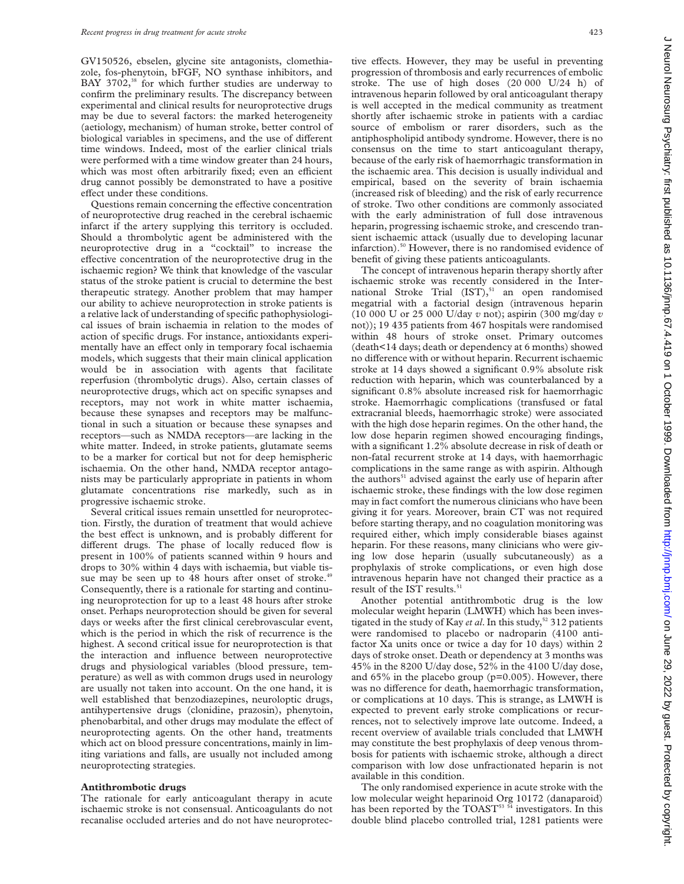GV150526, ebselen, glycine site antagonists, clomethiazole, fos-phenytoin, bFGF, NO synthase inhibitors, and BAY 3702,<sup>38</sup> for which further studies are underway to confirm the preliminary results. The discrepancy between experimental and clinical results for neuroprotective drugs may be due to several factors: the marked heterogeneity (aetiology, mechanism) of human stroke, better control of biological variables in specimens, and the use of different time windows. Indeed, most of the earlier clinical trials were performed with a time window greater than 24 hours, which was most often arbitrarily fixed; even an efficient drug cannot possibly be demonstrated to have a positive effect under these conditions.

Questions remain concerning the effective concentration of neuroprotective drug reached in the cerebral ischaemic infarct if the artery supplying this territory is occluded. Should a thrombolytic agent be administered with the neuroprotective drug in a "cocktail" to increase the effective concentration of the neuroprotective drug in the ischaemic region? We think that knowledge of the vascular status of the stroke patient is crucial to determine the best therapeutic strategy. Another problem that may hamper our ability to achieve neuroprotection in stroke patients is a relative lack of understanding of specific pathophysiological issues of brain ischaemia in relation to the modes of action of specific drugs. For instance, antioxidants experimentally have an effect only in temporary focal ischaemia models, which suggests that their main clinical application would be in association with agents that facilitate reperfusion (thrombolytic drugs). Also, certain classes of neuroprotective drugs, which act on specific synapses and receptors, may not work in white matter ischaemia, because these synapses and receptors may be malfunctional in such a situation or because these synapses and receptors—such as NMDA receptors—are lacking in the white matter. Indeed, in stroke patients, glutamate seems to be a marker for cortical but not for deep hemispheric ischaemia. On the other hand, NMDA receptor antagonists may be particularly appropriate in patients in whom glutamate concentrations rise markedly, such as in progressive ischaemic stroke.

Several critical issues remain unsettled for neuroprotection. Firstly, the duration of treatment that would achieve the best effect is unknown, and is probably different for different drugs. The phase of locally reduced flow is present in 100% of patients scanned within 9 hours and drops to 30% within 4 days with ischaemia, but viable tissue may be seen up to 48 hours after onset of stroke.<sup>49</sup> Consequently, there is a rationale for starting and continuing neuroprotection for up to a least 48 hours after stroke onset. Perhaps neuroprotection should be given for several days or weeks after the first clinical cerebrovascular event, which is the period in which the risk of recurrence is the highest. A second critical issue for neuroprotection is that the interaction and influence between neuroprotective drugs and physiological variables (blood pressure, temperature) as well as with common drugs used in neurology are usually not taken into account. On the one hand, it is well established that benzodiazepines, neuroloptic drugs, antihypertensive drugs (clonidine, prazosin), phenytoin, phenobarbital, and other drugs may modulate the effect of neuroprotecting agents. On the other hand, treatments which act on blood pressure concentrations, mainly in limiting variations and falls, are usually not included among neuroprotecting strategies.

### **Antithrombotic drugs**

The rationale for early anticoagulant therapy in acute ischaemic stroke is not consensual. Anticoagulants do not recanalise occluded arteries and do not have neuroprotective effects. However, they may be useful in preventing progression of thrombosis and early recurrences of embolic stroke. The use of high doses (20 000 U/24 h) of intravenous heparin followed by oral anticoagulant therapy is well accepted in the medical community as treatment shortly after ischaemic stroke in patients with a cardiac source of embolism or rarer disorders, such as the antiphospholipid antibody syndrome. However, there is no consensus on the time to start anticoagulant therapy, because of the early risk of haemorrhagic transformation in the ischaemic area. This decision is usually individual and empirical, based on the severity of brain ischaemia (increased risk of bleeding) and the risk of early recurrence of stroke. Two other conditions are commonly associated with the early administration of full dose intravenous heparin, progressing ischaemic stroke, and crescendo transient ischaemic attack (usually due to developing lacunar infarction).50 However, there is no randomised evidence of benefit of giving these patients anticoagulants.

The concept of intravenous heparin therapy shortly after ischaemic stroke was recently considered in the International Stroke Trial (IST),<sup>51</sup> an open randomised megatrial with a factorial design (intravenous heparin (10 000 U or 25 000 U/day *v* not); aspirin (300 mg/day *v* not)); 19 435 patients from 467 hospitals were randomised within 48 hours of stroke onset. Primary outcomes (death<14 days; death or dependency at 6 months) showed no difference with or without heparin. Recurrent ischaemic stroke at 14 days showed a significant 0.9% absolute risk reduction with heparin, which was counterbalanced by a significant 0.8% absolute increased risk for haemorrhagic stroke. Haemorrhagic complications (transfused or fatal extracranial bleeds, haemorrhagic stroke) were associated with the high dose heparin regimes. On the other hand, the low dose heparin regimen showed encouraging findings, with a significant 1.2% absolute decrease in risk of death or non-fatal recurrent stroke at 14 days, with haemorrhagic complications in the same range as with aspirin. Although the authors<sup>51</sup> advised against the early use of heparin after ischaemic stroke, these findings with the low dose regimen may in fact comfort the numerous clinicians who have been giving it for years. Moreover, brain CT was not required before starting therapy, and no coagulation monitoring was required either, which imply considerable biases against heparin. For these reasons, many clinicians who were giving low dose heparin (usually subcutaneously) as a prophylaxis of stroke complications, or even high dose intravenous heparin have not changed their practice as a result of the IST results.<sup>51</sup>

Another potential antithrombotic drug is the low molecular weight heparin (LMWH) which has been investigated in the study of Kay *et al*. In this study,<sup>52</sup> 312 patients were randomised to placebo or nadroparin (4100 antifactor Xa units once or twice a day for 10 days) within 2 days of stroke onset. Death or dependency at 3 months was 45% in the 8200 U/day dose, 52% in the 4100 U/day dose, and 65% in the placebo group (p=0.005). However, there was no difference for death, haemorrhagic transformation, or complications at 10 days. This is strange, as LMWH is expected to prevent early stroke complications or recurrences, not to selectively improve late outcome. Indeed, a recent overview of available trials concluded that LMWH may constitute the best prophylaxis of deep venous thrombosis for patients with ischaemic stroke, although a direct comparison with low dose unfractionated heparin is not available in this condition.

The only randomised experience in acute stroke with the low molecular weight heparinoid Org 10172 (danaparoid) has been reported by the TOAST<sup>53 54</sup> investigators. In this double blind placebo controlled trial, 1281 patients were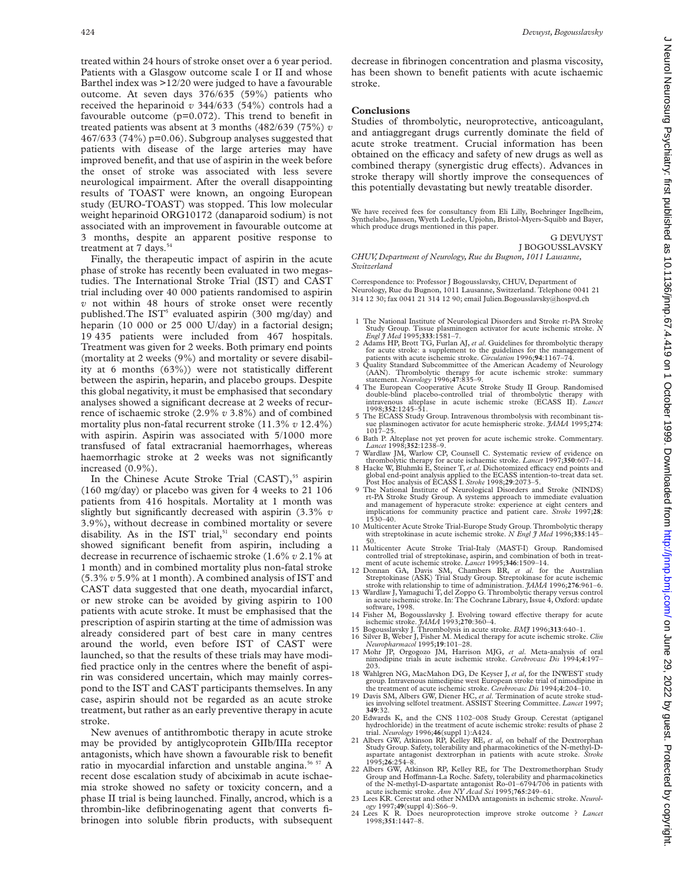treated within 24 hours of stroke onset over a 6 year period. Patients with a Glasgow outcome scale I or II and whose Barthel index was >12/20 were judged to have a favourable outcome. At seven days 376/635 (59%) patients who received the heparinoid *v* 344/633 (54%) controls had a favourable outcome (p=0.072). This trend to benefit in treated patients was absent at 3 months (482/639 (75%) *v* 467/633 (74%) p=0.06). Subgroup analyses suggested that patients with disease of the large arteries may have improved benefit, and that use of aspirin in the week before the onset of stroke was associated with less severe neurological impairment. After the overall disappointing results of TOAST were known, an ongoing European study (EURO-TOAST) was stopped. This low molecular weight heparinoid ORG10172 (danaparoid sodium) is not associated with an improvement in favourable outcome at 3 months, despite an apparent positive response to treatment at 7 days.<sup>54</sup>

Finally, the therapeutic impact of aspirin in the acute phase of stroke has recently been evaluated in two megastudies. The International Stroke Trial (IST) and CAST trial including over 40 000 patients randomised to aspirin *v* not within 48 hours of stroke onset were recently published. The IST<sup>5</sup> evaluated aspirin (300 mg/day) and heparin (10 000 or 25 000 U/day) in a factorial design; 19 435 patients were included from 467 hospitals. Treatment was given for 2 weeks. Both primary end points (mortality at 2 weeks (9%) and mortality or severe disability at 6 months  $(63%)$  were not statistically different between the aspirin, heparin, and placebo groups. Despite this global negativity, it must be emphasised that secondary analyses showed a significant decrease at 2 weeks of recurrence of ischaemic stroke (2.9% *v* 3.8%) and of combined mortality plus non-fatal recurrent stroke (11.3% *v* 12.4%) with aspirin. Aspirin was associated with 5/1000 more transfused of fatal extracranial haemorrhages, whereas haemorrhagic stroke at 2 weeks was not significantly increased (0.9%).

In the Chinese Acute Stroke Trial (CAST),<sup>55</sup> aspirin (160 mg/day) or placebo was given for 4 weeks to 21 106 patients from 416 hospitals. Mortality at 1 month was slightly but significantly decreased with aspirin (3.3% *v* 3.9%), without decrease in combined mortality or severe disability. As in the IST trial,<sup>51</sup> secondary end points showed significant benefit from aspirin, including a decrease in recurrence of ischaemic stroke (1.6% *v* 2.1% at 1 month) and in combined mortality plus non-fatal stroke (5.3% *v* 5.9% at 1 month). A combined analysis of IST and CAST data suggested that one death, myocardial infarct, or new stroke can be avoided by giving aspirin to 100 patients with acute stroke. It must be emphasised that the prescription of aspirin starting at the time of admission was already considered part of best care in many centres around the world, even before IST of CAST were launched, so that the results of these trials may have modified practice only in the centres where the benefit of aspirin was considered uncertain, which may mainly correspond to the IST and CAST participants themselves. In any case, aspirin should not be regarded as an acute stroke treatment, but rather as an early preventive therapy in acute stroke.

New avenues of antithrombotic therapy in acute stroke may be provided by antiglycoprotein GIIb/IIIa receptor antagonists, which have shown a favourable risk to benefit ratio in myocardial infarction and unstable angina.<sup>56 57</sup> A recent dose escalation study of abciximab in acute ischaemia stroke showed no safety or toxicity concern, and a phase II trial is being launched. Finally, ancrod, which is a thrombin-like defibrinogenating agent that converts fibrinogen into soluble fibrin products, with subsequent decrease in fibrinogen concentration and plasma viscosity, has been shown to benefit patients with acute ischaemic stroke.

### **Conclusions**

Studies of thrombolytic, neuroprotective, anticoagulant, and antiaggregant drugs currently dominate the field of acute stroke treatment. Crucial information has been obtained on the efficacy and safety of new drugs as well as combined therapy (synergistic drug effects). Advances in stroke therapy will shortly improve the consequences of this potentially devastating but newly treatable disorder.

We have received fees for consultancy from Eli Lilly, Boehringer Ingelheim, Synthelabo, Janssen, Wyeth Lederle, Upjohn, Bristol-Myers-Squibb and Bayer, which produce drugs mentioned in this paper.

> G DEVUYST J BOGOUSSLAVSKY

*CHUV, Department of Neurology, Rue du Bugnon, 1011 Lausanne, Switzerland*

Correspondence to: Professor J Bogousslavsky, CHUV, Department of Neurology, Rue du Bugnon, 1011 Lausanne, Switzerland. Telephone 0041 21 314 12 30; fax 0041 21 314 12 90; email Julien.Bogousslavsky@hospvd.ch

- 1 The National Institute of Neurological Disorders and Stroke rt-PA Stroke Study Group. Tissue plasminogen activator for acute ischemic stroke. *N Engl J Med* 1995;**333**:1581–7.
- 2 Adams HP, Brott TG, Furlan AJ, *et al*. Guidelines for thrombolytic therapy for acute stroke: a supplement to the guidelines for the management of partients with acute ischemic stroke. *Circulation* 1996;94:1167-74.
- patients with acute ischemic stroke. *Circulation* 1996;**94**:1167–74. 3 Quality Standard Subcommittee of the American Academy of Neurology (AAN). Thrombolytic therapy for acute ischemic stroke: summary statement. *Neurology* 1996;**47**:835–9. 4 The European Cooperative Acute Stroke Study II Group. Randomised
- double-blind placebo-controlled trial of thrombolytic therapy with intravenous alteplase in acute ischemic stroke (ECASS II). *Lancet*
- 1998;**352**:1245–51. 5 The ECASS Study Group. Intravenous thrombolysis with recombinant tis-sue plasminogen activator for acute hemispheric stroke. *JAMA* 1995;**274**:
- 1017–25. 6 Bath P. Alteplase not yet proven for acute ischemic stroke. Commentary. *Lancet* 1998;**352**:1238–9.
- 7 Wardlaw JM, Warlow CP, Counsell C. Systematic review of evidence on thrombolytic therapy for acute ischaemic stroke. *Lancet* 1997;**350**:607-14.<br>8 Hacke W, Bluhmki E, Steiner T, *et al*. Dichotomized efficacy end points and
- global end-point analysis applied to the ECASS intention-to-treat data set.<br>Post Hoc analysis of ECASS I. Stroke 1998;29:2073-5.
- 9 The National Institute of Neurological Disorders and Stroke (NINDS) rt-PA Stroke Study Group. A systems approach to immediate evaluation and management of hyperacute stroke: experience at eight centers and implications for community practice and patient care. *Stroke* 1997;**28**: 1530–40.
- 10 Multicenter Acute Stroke Trial-Europe Study Group. Thrombolytic therapy with streptokinase in acute ischemic stroke. *N Engl J Med* 1996;335:145-
- 11 Multicenter Acute Stroke Trial-Italy (MAST-I) Group. Randomised controlled trial of streptokinase, aspirin, and combination of both in treat-ment of acute ischemic stroke. *Lancet* 1995;**346**:1509–14.
- 12 Donnan GA, Davis SM, Chambers BR, *et al*. for the Australian Streptokinase (ASK) Trial Study Group. Streptokinase for acute ischemic
- stroke with relationship to time of administration. *JAMA* 1996;276:961–6.<br>13 Wardlaw J, Yamaguchi T, del Zoppo G. Thrombolytic therapy versus control<br>in acute ischemic stroke. In: The Cochrane Library, Issue 4, Oxford: up
- 14 Fisher M, Bogousslavsky J. Evolving toward effective therapy for acute isochemic stroke.  $\frac{34MA}{1993,270.360-4}$ .<br>15 Bogousslavsky J. Thrombolysis in acute stroke. *BM*J 1996;313:640-1.<br>16 Silver B, Weber J, Fisher M.
- 
- 
- *Neuropharmacol* 1995;**19**:101–28. 17 Mohr JP, Orgogozo JM, Harrison MJG, *et al*. Meta-analysis of oral nimodipine trials in acute ischemic stroke. *Cerebrovasc Dis* 1994;**4**:197– 203.
- 18 Wahlgren NG, MacMahon DG, De Keyser J, *et al*, for the INWEST study group. Intravenous nimedipine west European stroke trial of nimodipine in<br>the treatment of acute ischemic stroke. *Cerebrouasc Dis* 1994;4:204-10.<br>Davis SM, Albers GW, Diener HC, *et al. T*ermination of acute stroke stud-
- ies involving selfotel treatment. ASSIST Steering Committee. *Lancet* 1997; **349**:32.
- 20 Edwards K, and the CNS 1102–008 Study Group. Cerestat (aptiganel hydrochloride) in the treatment of acute ischemic stroke: results of phase 2
- trial. *Neurology* 1996;**46**(suppl 1):A424. 21 Albers GW, Atkinson RP, Kelley RE, *et al*, on behalf of the Dextrorphan Study Group. Safety, tolerability and pharmacokinetics of the N-methyl-Daspartate antagonist dextrorphan in patients with acute stroke. *Stroke* 1995;**26**:254–8.
- 22 Albers GW, Atkinson RP, Kelley RE, for The Dextromethorphan Study Group and Hoffmann-La Roche. Safety, tolerability and pharmacokinetics<br>of the N-methyl-D-aspartate antagonist Ro-01-6794/706 in patients with<br>acute ischemic stroke. Ann NY Acad Sci 1995;765:249-61.<br>23 Lees KR. Cerestat and
- *ogy* 1997;**49**(suppl 4):S66–9.
- 24 Lees K R. Does neuroprotection improve stroke outcome ? *Lancet* 1998;**351**:1447–8.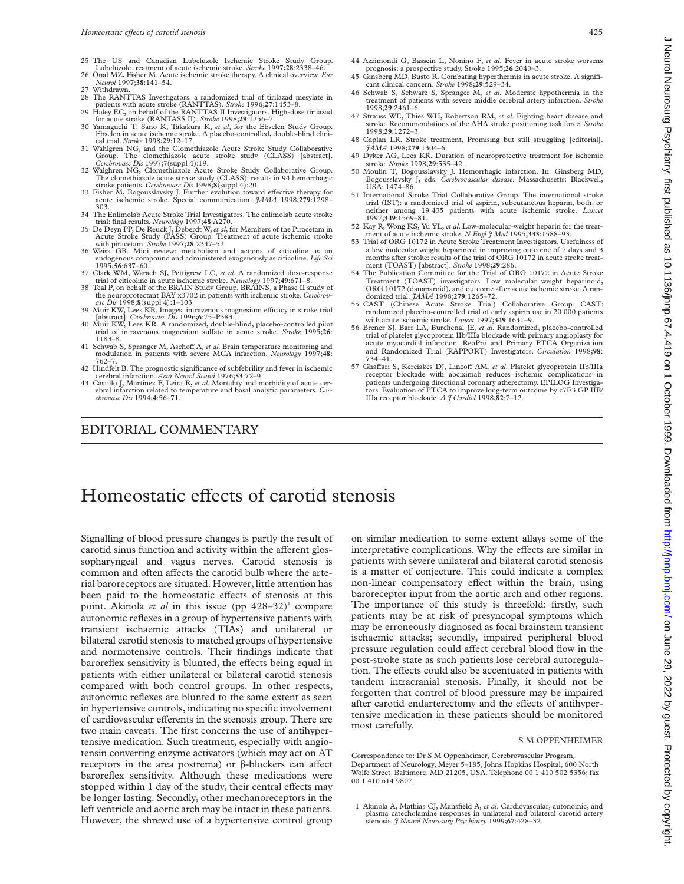- 25 The US and Canadian Lubeluzole Ischemic Stroke Study Group. Lubeluzole treatment of acute ischemic stroke. *Stroke* 1997;**28**:2338–46.
- 26 Önal MZ, Fisher M. Acute ischemic stroke therapy. A clinical overview. *Eur*

*Neurol* 1997;**38**:141–54. 27 Withdrawn.

- 27 Whitehawn: 28 The RANTTAS Investigators. a randomized trial of tirilazad mesylate in
- patients with acute stroke (RANTTAS). *Stroke* 1996;**27**:1453–8. 29 Haley EC, on behalf of the RANTTAS II Investigators. High-dose tirilazad for acute stroke (RANTASS II). *Stroke* 1998;**29**:1256–7.
- 30 Yamaguchi T, Sano K, Takakura K, *et al*, for the Ebselen Study Group. Ebselen in acute ischemic stroke. A placebo-controlled, double-blind clinical trial. *Stroke* 1998;**29**:12–17.
- 31 Wahlgren NG, and the Clomethiazole Acute Stroke Study Collaborative Group. The clomethiazole acute stroke study (CLASS) [abstract]. *Cerebrovasc Dis* 1997;**7**(suppl 4):19.
- 32 Walghren NG, Clomethiazole Acute Stroke Study Collaborative Group. The clomethiazole acute stroke study (CLASS): results in 94 hemorrhagic stroke patients. *Cerebrovasc Dis* 1998;**8**(suppl 4):20.
- 33 Fisher M, Bogousslavsky J. Further evolution toward effective therapy for acute ischemic stroke. Special communication. *JAMA* 1998;279:1298–
- 303. 34 The Enlimolab Acute Stroke Trial Investigators. The enlimolab acute stroke trial: final results. *Neurology* 1997;**48**:A270.
- 35 De Deyn PP, De Reuck J, Deberdt W,*et al*, for Members of the Piracetam in Acute Stroke Study (PASS) Group. Treatment of acute ischemic stroke with piracetam. *Stroke* 1997;**28**:2347–52.
- 36 Weiss GB. Mini review: metabolism and actions of citicoline as an endogenous compound and administered exogenously as citicoline. *Life Sci* 1995;**56**:637–60.
- 37 Clark WM, Warach SJ, Pettigrew LC, *et al*. A randomized dose-response trial of citicoline in acute ischemic stroke. *Neurology* 1997;**49**:671–8. 38 Teal P, on behalf of the BRAIN Study Group. BRAINS, a Phase II study of
- the neuroprotectant BAY x3702 in patients with ischemic stroke. *Cerebrov-*<br>*asc Dis* 1998;8(suppl 4):1–103.<br>39 Muir KW, Lees KR. Images: intravenous magnesium efficacy in stroke trial
- [abstract]. *Cerebrovasc Dis* 1996;**6**:75–P383.
- 40 Muir KW, Lees KR. A randomized, double-blind, placebo-controlled pilot trial of intravenous magnesium sulfate in acute stroke. *Stroke* 1995;**26**: 1183–8.
- 41 Schwab S, Spranger M, Aschoff A, et al. Brain temperature monitoring and modulation in patients with severe MCA infarction. *Neurology* 1997;**48**: 762–7.
- 42 Hindfelt B. The prognostic significance of subfebrility and fever in ischemic cerebral infarction. *Acta Neurol Scand* 1976;**53**:72–9.
- 43 Castillo J, Martinez F, Leira R, *et al*. Mortality and morbidity of acute cerebral infarction related to temperature and basal analytic parameters. *Cer-ebrovasc Dis* 1994;**4**:56–71.

# EDITORIAL COMMENTARY

- 44 Azzimondi G, Bassein L, Nonino F, *et al*. Fever in acute stroke worsens prognosis: a prospective study. St*r*oke 1995;**26**:2040–3.
- 45 Ginsberg MD, Busto R. Combating hyperthermia in acute stroke. A significant clinical concern. *Stroke* 1998;**29**:529–34.
- 46 Schwab S, Schwarz S, Spranger M, *et al*. Moderate hypothermia in the treatment of patients with severe middle cerebral artery infarction. *Stroke* 1998;**29**:2461–6.
- 47 Strauss WE, Thies WH, Robertson RM, *et al*. Fighting heart disease and stroke. Recommendations of the AHA stroke positioning task force. *Stroke* 1998;**29**:1272–3.
- 48 Caplan LR. Stroke treatment. Promising but still struggling [editorial]. *JAMA* 1998;**279**:1304–6.
- 49 Dyker AG, Lees KR. Duration of neuroprotective treatment for ischemic stroke. *Stroke* 1998;**29**:535–42.
- 50 Moulin T, Bogousslavsky J. Hemorrhagic infarction. In: Ginsberg MD, Bogousslavsky J, eds. *Cerebrovascular disease*. Massachusetts: Blackwell, USA: 1474–86.
- 51 International Stroke Trial Collaborative Group. The international stroke trial (IST): a randomized trial of aspirin, subcutaneous heparin, both, or neither among 19 435 patients with acute ischemic stroke. *Lancet* 1997;**349**:1569–81.
- 52 Kay R, Wong KS, Yu YL, *et al*. Low-molecular-weight heparin for the treat-
- ment of acute ischemic stroke. *N Engl J Med* 1995;333:1588-93.<br>53 Trial of ORG 10172 in Acute Stroke Treatment Investigators. Usefulness of a low molecular weight heparinoid in improving outcome of 7 days and 3 months after stroke: results of the trial of ORG 10172 in acute stroke treat-ment (TOAST) [abstract]. *Stroke* 1998;**29**:286.
- 54 The Publication Committee for the Trial of ORG 10172 in Acute Stroke Treatment (TOAST) investigators. Low molecular weight heparinoid, ORG 10172 (danaparoid), and outcome after acute ischemic stroke. A randomized trial. *JAMA* 1998;**279**:1265–72.
- 55 CAST (Chinese Acute Stroke Trial) Collaborative Group. CAST: randomized placebo-controlled trial of early aspirin use in 20 000 patients with acute ischemic stroke. *Lancet* 1997;**349**:1641–9.
- 56 Brener SJ, Barr LA, Burchenal JE, *et al*. Randomized, placebo-controlled trial of platelet glycoprotein IIb/IIIa blockade with primary angioplasty for acute myocardial infarction. ReoPro and Primary PTCA Organization and Randomized Trial (RAPPORT) Investigators. *Circulation* 1998;**98**: 734–41.
- 57 Ghaffari S, Kereiakes DJ, Lincoff AM, *et al.* Platelet glycoprotein IIb/IIIa receptor blockade with abciximab reduces ischemic complications in patients undergoing directional coronary atherectomy. EPILOG Investigators. Evaluation of PTCA to improve long-term outcome by c7E3 GP IIB/ IIIa receptor blockade. *A J Cardiol* 1998;**82**:7–12.

# Homeostatic effects of carotid stenosis

Signalling of blood pressure changes is partly the result of carotid sinus function and activity within the afferent glossopharyngeal and vagus nerves. Carotid stenosis is common and often affects the carotid bulb where the arterial baroreceptors are situated. However, little attention has been paid to the homeostatic effects of stenosis at this point. Akinola *et al* in this issue (pp  $428-32$ )<sup>1</sup> compare autonomic reflexes in a group of hypertensive patients with transient ischaemic attacks (TIAs) and unilateral or bilateral carotid stenosis to matched groups of hypertensive and normotensive controls. Their findings indicate that baroreflex sensitivity is blunted, the effects being equal in patients with either unilateral or bilateral carotid stenosis compared with both control groups. In other respects, autonomic reflexes are blunted to the same extent as seen in hypertensive controls, indicating no specific involvement of cardiovascular efferents in the stenosis group. There are two main caveats. The first concerns the use of antihypertensive medication. Such treatment, especially with angiotensin converting enzyme activators (which may act on AT receptors in the area postrema) or  $\beta$ -blockers can affect baroreflex sensitivity. Although these medications were stopped within 1 day of the study, their central effects may be longer lasting. Secondly, other mechanoreceptors in the left ventricle and aortic arch may be intact in these patients. However, the shrewd use of a hypertensive control group

on similar medication to some extent allays some of the interpretative complications. Why the effects are similar in patients with severe unilateral and bilateral carotid stenosis is a matter of conjecture. This could indicate a complex non-linear compensatory effect within the brain, using baroreceptor input from the aortic arch and other regions. The importance of this study is threefold: firstly, such patients may be at risk of presyncopal symptoms which may be erroneously diagnosed as focal brainstem transient ischaemic attacks; secondly, impaired peripheral blood pressure regulation could affect cerebral blood flow in the post-stroke state as such patients lose cerebral autoregulation. The effects could also be accentuated in patients with tandem intracranial stenosis. Finally, it should not be forgotten that control of blood pressure may be impaired after carotid endarterectomy and the effects of antihypertensive medication in these patients should be monitored most carefully.

### S M OPPENHEIMER

Correspondence to: Dr S M Oppenheimer, Cerebrovascular Program, Department of Neurology, Meyer 5–185, Johns Hopkins Hospital, 600 North Wolfe Street, Baltimore, MD 21205, USA. Telephone 00 1 410 502 5356; fax 00 1 410 614 9807.

1 Akinola A, Mathias CJ, Mansfield A, *et al*. Cardiovascular, autonomic, and plasma catecholamine responses in unilateral and bilateral carotid artery stenosis. *J Neurol Neurosurg Psychiatry* 1999;**67**:428–32.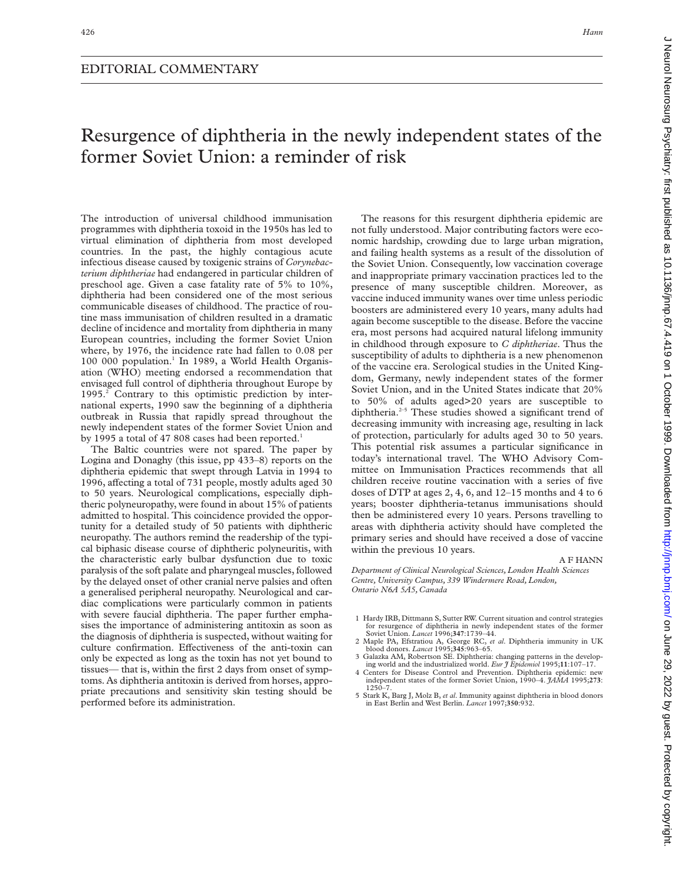# Resurgence of diphtheria in the newly independent states of the former Soviet Union: a reminder of risk

The introduction of universal childhood immunisation programmes with diphtheria toxoid in the 1950s has led to virtual elimination of diphtheria from most developed countries. In the past, the highly contagious acute infectious disease caused by toxigenic strains of *Corynebacterium diphtheriae* had endangered in particular children of preschool age. Given a case fatality rate of 5% to 10%, diphtheria had been considered one of the most serious communicable diseases of childhood. The practice of routine mass immunisation of children resulted in a dramatic decline of incidence and mortality from diphtheria in many European countries, including the former Soviet Union where, by 1976, the incidence rate had fallen to 0.08 per 100 000 population.<sup>1</sup> In 1989, a World Health Organisation (WHO) meeting endorsed a recommendation that envisaged full control of diphtheria throughout Europe by 1995.<sup>2</sup> Contrary to this optimistic prediction by international experts, 1990 saw the beginning of a diphtheria outbreak in Russia that rapidly spread throughout the newly independent states of the former Soviet Union and by 1995 a total of 47 808 cases had been reported.<sup>1</sup>

The Baltic countries were not spared. The paper by Logina and Donaghy (this issue, pp 433–8) reports on the diphtheria epidemic that swept through Latvia in 1994 to 1996, affecting a total of 731 people, mostly adults aged 30 to 50 years. Neurological complications, especially diphtheric polyneuropathy, were found in about 15% of patients admitted to hospital. This coincidence provided the opportunity for a detailed study of 50 patients with diphtheric neuropathy. The authors remind the readership of the typical biphasic disease course of diphtheric polyneuritis, with the characteristic early bulbar dysfunction due to toxic paralysis of the soft palate and pharyngeal muscles, followed by the delayed onset of other cranial nerve palsies and often a generalised peripheral neuropathy. Neurological and cardiac complications were particularly common in patients with severe faucial diphtheria. The paper further emphasises the importance of administering antitoxin as soon as the diagnosis of diphtheria is suspected, without waiting for culture confirmation. Effectiveness of the anti-toxin can only be expected as long as the toxin has not yet bound to tissues— that is, within the first 2 days from onset of symptoms. As diphtheria antitoxin is derived from horses, appropriate precautions and sensitivity skin testing should be performed before its administration.

The reasons for this resurgent diphtheria epidemic are not fully understood. Major contributing factors were economic hardship, crowding due to large urban migration, and failing health systems as a result of the dissolution of the Soviet Union. Consequently, low vaccination coverage and inappropriate primary vaccination practices led to the presence of many susceptible children. Moreover, as vaccine induced immunity wanes over time unless periodic boosters are administered every 10 years, many adults had again become susceptible to the disease. Before the vaccine era, most persons had acquired natural lifelong immunity in childhood through exposure to *C diphtheriae*. Thus the susceptibility of adults to diphtheria is a new phenomenon of the vaccine era. Serological studies in the United Kingdom, Germany, newly independent states of the former Soviet Union, and in the United States indicate that 20% to 50% of adults aged>20 years are susceptible to diphtheria.2–5 These studies showed a significant trend of decreasing immunity with increasing age, resulting in lack of protection, particularly for adults aged 30 to 50 years. This potential risk assumes a particular significance in today's international travel. The WHO Advisory Committee on Immunisation Practices recommends that all children receive routine vaccination with a series of five doses of DTP at ages 2, 4, 6, and 12–15 months and 4 to 6 years; booster diphtheria-tetanus immunisations should then be administered every 10 years. Persons travelling to areas with diphtheria activity should have completed the primary series and should have received a dose of vaccine within the previous 10 years.

A F HANN

*Department of Clinical Neurological Sciences, London Health Sciences Centre, University Campus, 339 Windermere Road, London, Ontario N6A 5A5, Canada*

- 1 Hardy IRB, Dittmann S, Sutter RW. Current situation and control strategies for resurgence of diphtheria in newly independent states of the former Soviet Union. *Lancet* 1996;**347**:1739–44.
- 2 Maple PA, Efstratiou A, George RC, *et al*. Diphtheria immunity in UK blood donors. *Lancet* 1995;**345**:963–65.
- 3 Galazka AM, Robertson SE. Diphtheria: changing patterns in the developing world and the industrialized world. *Eur J Epidemiol* 1995;**11**:107–17. 4 Centers for Disease Control and Prevention. Diphtheria epidemic: new
- independent states of the former Soviet Union, 1990–4. *JAMA* 1995;**273**: 1250–7.
- 5 Stark K, Barg J, Molz B, *et al*. Immunity against diphtheria in blood donors in East Berlin and West Berlin. *Lancet* 1997;**350**:932.